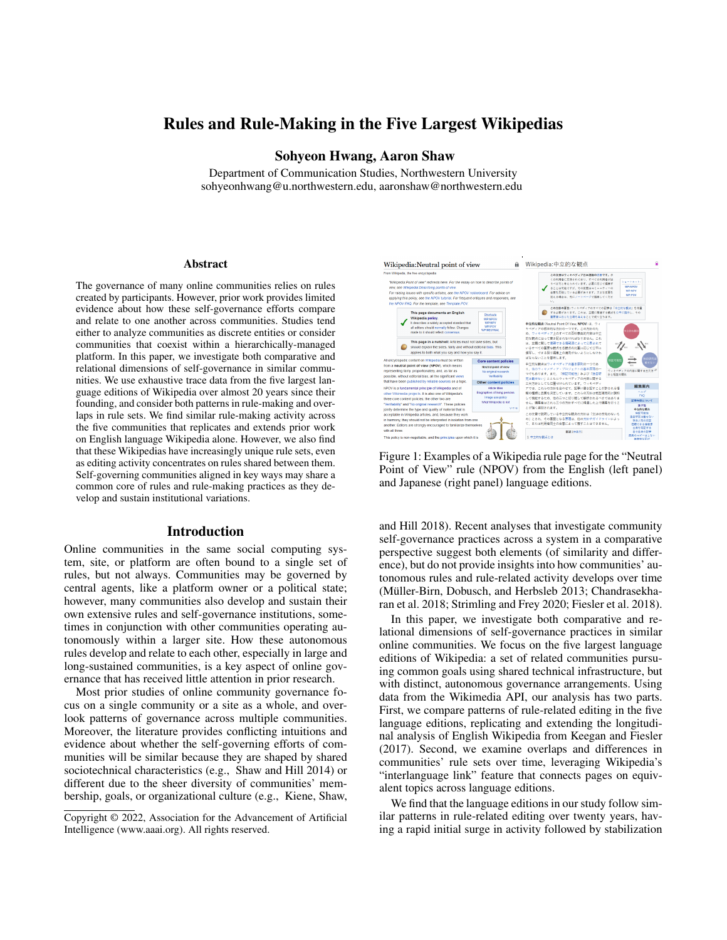# Rules and Rule-Making in the Five Largest Wikipedias

# Sohyeon Hwang, Aaron Shaw

Department of Communication Studies, Northwestern University sohyeonhwang@u.northwestern.edu, aaronshaw@northwestern.edu

#### Abstract

The governance of many online communities relies on rules created by participants. However, prior work provides limited evidence about how these self-governance efforts compare and relate to one another across communities. Studies tend either to analyze communities as discrete entities or consider communities that coexist within a hierarchically-managed platform. In this paper, we investigate both comparative and relational dimensions of self-governance in similar communities. We use exhaustive trace data from the five largest language editions of Wikipedia over almost 20 years since their founding, and consider both patterns in rule-making and overlaps in rule sets. We find similar rule-making activity across the five communities that replicates and extends prior work on English language Wikipedia alone. However, we also find that these Wikipedias have increasingly unique rule sets, even as editing activity concentrates on rules shared between them. Self-governing communities aligned in key ways may share a common core of rules and rule-making practices as they develop and sustain institutional variations.

#### Introduction

Online communities in the same social computing system, site, or platform are often bound to a single set of rules, but not always. Communities may be governed by central agents, like a platform owner or a political state; however, many communities also develop and sustain their own extensive rules and self-governance institutions, sometimes in conjunction with other communities operating autonomously within a larger site. How these autonomous rules develop and relate to each other, especially in large and long-sustained communities, is a key aspect of online governance that has received little attention in prior research.

Most prior studies of online community governance focus on a single community or a site as a whole, and overlook patterns of governance across multiple communities. Moreover, the literature provides conflicting intuitions and evidence about whether the self-governing efforts of communities will be similar because they are shaped by shared sociotechnical characteristics (e.g., Shaw and Hill 2014) or different due to the sheer diversity of communities' membership, goals, or organizational culture (e.g., Kiene, Shaw,



Figure 1: Examples of a Wikipedia rule page for the "Neutral Point of View" rule (NPOV) from the English (left panel) and Japanese (right panel) language editions.

and Hill 2018). Recent analyses that investigate community self-governance practices across a system in a comparative perspective suggest both elements (of similarity and difference), but do not provide insights into how communities' autonomous rules and rule-related activity develops over time (Müller-Birn, Dobusch, and Herbsleb 2013; Chandrasekharan et al. 2018; Strimling and Frey 2020; Fiesler et al. 2018).

In this paper, we investigate both comparative and relational dimensions of self-governance practices in similar online communities. We focus on the five largest language editions of Wikipedia: a set of related communities pursuing common goals using shared technical infrastructure, but with distinct, autonomous governance arrangements. Using data from the Wikimedia API, our analysis has two parts. First, we compare patterns of rule-related editing in the five language editions, replicating and extending the longitudinal analysis of English Wikipedia from Keegan and Fiesler (2017). Second, we examine overlaps and differences in communities' rule sets over time, leveraging Wikipedia's "interlanguage link" feature that connects pages on equivalent topics across language editions.

We find that the language editions in our study follow similar patterns in rule-related editing over twenty years, having a rapid initial surge in activity followed by stabilization

Copyright © 2022, Association for the Advancement of Artificial Intelligence (www.aaai.org). All rights reserved.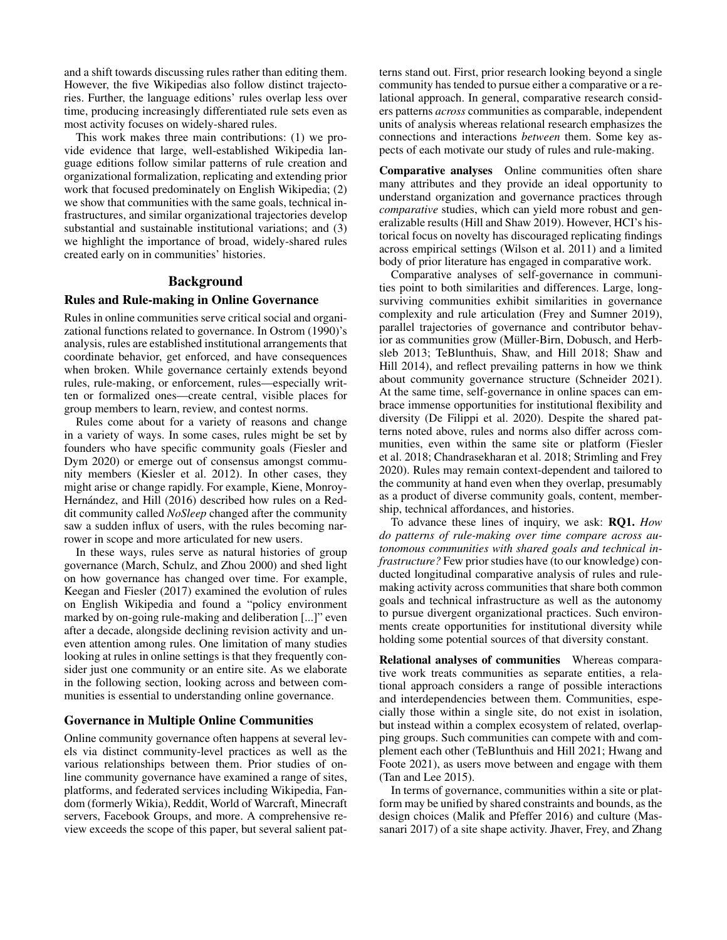and a shift towards discussing rules rather than editing them. However, the five Wikipedias also follow distinct trajectories. Further, the language editions' rules overlap less over time, producing increasingly differentiated rule sets even as most activity focuses on widely-shared rules.

This work makes three main contributions: (1) we provide evidence that large, well-established Wikipedia language editions follow similar patterns of rule creation and organizational formalization, replicating and extending prior work that focused predominately on English Wikipedia; (2) we show that communities with the same goals, technical infrastructures, and similar organizational trajectories develop substantial and sustainable institutional variations; and (3) we highlight the importance of broad, widely-shared rules created early on in communities' histories.

### Background

# Rules and Rule-making in Online Governance

Rules in online communities serve critical social and organizational functions related to governance. In Ostrom (1990)'s analysis, rules are established institutional arrangements that coordinate behavior, get enforced, and have consequences when broken. While governance certainly extends beyond rules, rule-making, or enforcement, rules—especially written or formalized ones—create central, visible places for group members to learn, review, and contest norms.

Rules come about for a variety of reasons and change in a variety of ways. In some cases, rules might be set by founders who have specific community goals (Fiesler and Dym 2020) or emerge out of consensus amongst community members (Kiesler et al. 2012). In other cases, they might arise or change rapidly. For example, Kiene, Monroy-Hernández, and Hill (2016) described how rules on a Reddit community called *NoSleep* changed after the community saw a sudden influx of users, with the rules becoming narrower in scope and more articulated for new users.

In these ways, rules serve as natural histories of group governance (March, Schulz, and Zhou 2000) and shed light on how governance has changed over time. For example, Keegan and Fiesler (2017) examined the evolution of rules on English Wikipedia and found a "policy environment marked by on-going rule-making and deliberation [...]" even after a decade, alongside declining revision activity and uneven attention among rules. One limitation of many studies looking at rules in online settings is that they frequently consider just one community or an entire site. As we elaborate in the following section, looking across and between communities is essential to understanding online governance.

#### Governance in Multiple Online Communities

Online community governance often happens at several levels via distinct community-level practices as well as the various relationships between them. Prior studies of online community governance have examined a range of sites, platforms, and federated services including Wikipedia, Fandom (formerly Wikia), Reddit, World of Warcraft, Minecraft servers, Facebook Groups, and more. A comprehensive review exceeds the scope of this paper, but several salient pat-

terns stand out. First, prior research looking beyond a single community has tended to pursue either a comparative or a relational approach. In general, comparative research considers patterns *across* communities as comparable, independent units of analysis whereas relational research emphasizes the connections and interactions *between* them. Some key aspects of each motivate our study of rules and rule-making.

Comparative analyses Online communities often share many attributes and they provide an ideal opportunity to understand organization and governance practices through *comparative* studies, which can yield more robust and generalizable results (Hill and Shaw 2019). However, HCI's historical focus on novelty has discouraged replicating findings across empirical settings (Wilson et al. 2011) and a limited body of prior literature has engaged in comparative work.

Comparative analyses of self-governance in communities point to both similarities and differences. Large, longsurviving communities exhibit similarities in governance complexity and rule articulation (Frey and Sumner 2019), parallel trajectories of governance and contributor behavior as communities grow (Müller-Birn, Dobusch, and Herbsleb 2013; TeBlunthuis, Shaw, and Hill 2018; Shaw and Hill 2014), and reflect prevailing patterns in how we think about community governance structure (Schneider 2021). At the same time, self-governance in online spaces can embrace immense opportunities for institutional flexibility and diversity (De Filippi et al. 2020). Despite the shared patterns noted above, rules and norms also differ across communities, even within the same site or platform (Fiesler et al. 2018; Chandrasekharan et al. 2018; Strimling and Frey 2020). Rules may remain context-dependent and tailored to the community at hand even when they overlap, presumably as a product of diverse community goals, content, membership, technical affordances, and histories.

To advance these lines of inquiry, we ask: RQ1. *How do patterns of rule-making over time compare across autonomous communities with shared goals and technical infrastructure?* Few prior studies have (to our knowledge) conducted longitudinal comparative analysis of rules and rulemaking activity across communities that share both common goals and technical infrastructure as well as the autonomy to pursue divergent organizational practices. Such environments create opportunities for institutional diversity while holding some potential sources of that diversity constant.

Relational analyses of communities Whereas comparative work treats communities as separate entities, a relational approach considers a range of possible interactions and interdependencies between them. Communities, especially those within a single site, do not exist in isolation, but instead within a complex ecosystem of related, overlapping groups. Such communities can compete with and complement each other (TeBlunthuis and Hill 2021; Hwang and Foote 2021), as users move between and engage with them (Tan and Lee 2015).

In terms of governance, communities within a site or platform may be unified by shared constraints and bounds, as the design choices (Malik and Pfeffer 2016) and culture (Massanari 2017) of a site shape activity. Jhaver, Frey, and Zhang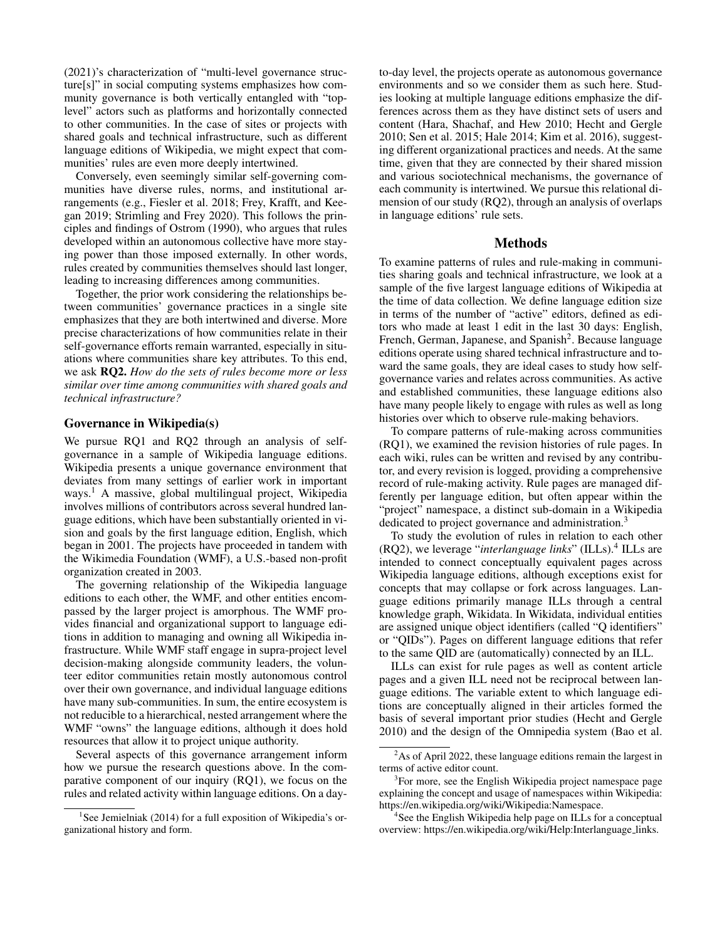(2021)'s characterization of "multi-level governance structure[s]" in social computing systems emphasizes how community governance is both vertically entangled with "toplevel" actors such as platforms and horizontally connected to other communities. In the case of sites or projects with shared goals and technical infrastructure, such as different language editions of Wikipedia, we might expect that communities' rules are even more deeply intertwined.

Conversely, even seemingly similar self-governing communities have diverse rules, norms, and institutional arrangements (e.g., Fiesler et al. 2018; Frey, Krafft, and Keegan 2019; Strimling and Frey 2020). This follows the principles and findings of Ostrom (1990), who argues that rules developed within an autonomous collective have more staying power than those imposed externally. In other words, rules created by communities themselves should last longer, leading to increasing differences among communities.

Together, the prior work considering the relationships between communities' governance practices in a single site emphasizes that they are both intertwined and diverse. More precise characterizations of how communities relate in their self-governance efforts remain warranted, especially in situations where communities share key attributes. To this end, we ask RQ2. *How do the sets of rules become more or less similar over time among communities with shared goals and technical infrastructure?*

# Governance in Wikipedia(s)

We pursue RQ1 and RQ2 through an analysis of selfgovernance in a sample of Wikipedia language editions. Wikipedia presents a unique governance environment that deviates from many settings of earlier work in important ways.<sup>1</sup> A massive, global multilingual project, Wikipedia involves millions of contributors across several hundred language editions, which have been substantially oriented in vision and goals by the first language edition, English, which began in 2001. The projects have proceeded in tandem with the Wikimedia Foundation (WMF), a U.S.-based non-profit organization created in 2003.

The governing relationship of the Wikipedia language editions to each other, the WMF, and other entities encompassed by the larger project is amorphous. The WMF provides financial and organizational support to language editions in addition to managing and owning all Wikipedia infrastructure. While WMF staff engage in supra-project level decision-making alongside community leaders, the volunteer editor communities retain mostly autonomous control over their own governance, and individual language editions have many sub-communities. In sum, the entire ecosystem is not reducible to a hierarchical, nested arrangement where the WMF "owns" the language editions, although it does hold resources that allow it to project unique authority.

Several aspects of this governance arrangement inform how we pursue the research questions above. In the comparative component of our inquiry (RQ1), we focus on the rules and related activity within language editions. On a day-

to-day level, the projects operate as autonomous governance environments and so we consider them as such here. Studies looking at multiple language editions emphasize the differences across them as they have distinct sets of users and content (Hara, Shachaf, and Hew 2010; Hecht and Gergle 2010; Sen et al. 2015; Hale 2014; Kim et al. 2016), suggesting different organizational practices and needs. At the same time, given that they are connected by their shared mission and various sociotechnical mechanisms, the governance of each community is intertwined. We pursue this relational dimension of our study (RQ2), through an analysis of overlaps in language editions' rule sets.

#### Methods

To examine patterns of rules and rule-making in communities sharing goals and technical infrastructure, we look at a sample of the five largest language editions of Wikipedia at the time of data collection. We define language edition size in terms of the number of "active" editors, defined as editors who made at least 1 edit in the last 30 days: English, French, German, Japanese, and Spanish<sup>2</sup>. Because language editions operate using shared technical infrastructure and toward the same goals, they are ideal cases to study how selfgovernance varies and relates across communities. As active and established communities, these language editions also have many people likely to engage with rules as well as long histories over which to observe rule-making behaviors.

To compare patterns of rule-making across communities (RQ1), we examined the revision histories of rule pages. In each wiki, rules can be written and revised by any contributor, and every revision is logged, providing a comprehensive record of rule-making activity. Rule pages are managed differently per language edition, but often appear within the "project" namespace, a distinct sub-domain in a Wikipedia dedicated to project governance and administration.<sup>3</sup>

To study the evolution of rules in relation to each other (RQ2), we leverage "*interlanguage links*" (ILLs).<sup>4</sup> ILLs are intended to connect conceptually equivalent pages across Wikipedia language editions, although exceptions exist for concepts that may collapse or fork across languages. Language editions primarily manage ILLs through a central knowledge graph, Wikidata. In Wikidata, individual entities are assigned unique object identifiers (called "Q identifiers" or "QIDs"). Pages on different language editions that refer to the same QID are (automatically) connected by an ILL.

ILLs can exist for rule pages as well as content article pages and a given ILL need not be reciprocal between language editions. The variable extent to which language editions are conceptually aligned in their articles formed the basis of several important prior studies (Hecht and Gergle 2010) and the design of the Omnipedia system (Bao et al.

<sup>&</sup>lt;sup>1</sup>See Jemielniak (2014) for a full exposition of Wikipedia's organizational history and form.

<sup>&</sup>lt;sup>2</sup>As of April 2022, these language editions remain the largest in terms of active editor count.

<sup>&</sup>lt;sup>3</sup>For more, see the English Wikipedia project namespace page explaining the concept and usage of namespaces within Wikipedia: https://en.wikipedia.org/wiki/Wikipedia:Namespace.

<sup>&</sup>lt;sup>4</sup> See the English Wikipedia help page on ILLs for a conceptual overview: https://en.wikipedia.org/wiki/Help:Interlanguage links.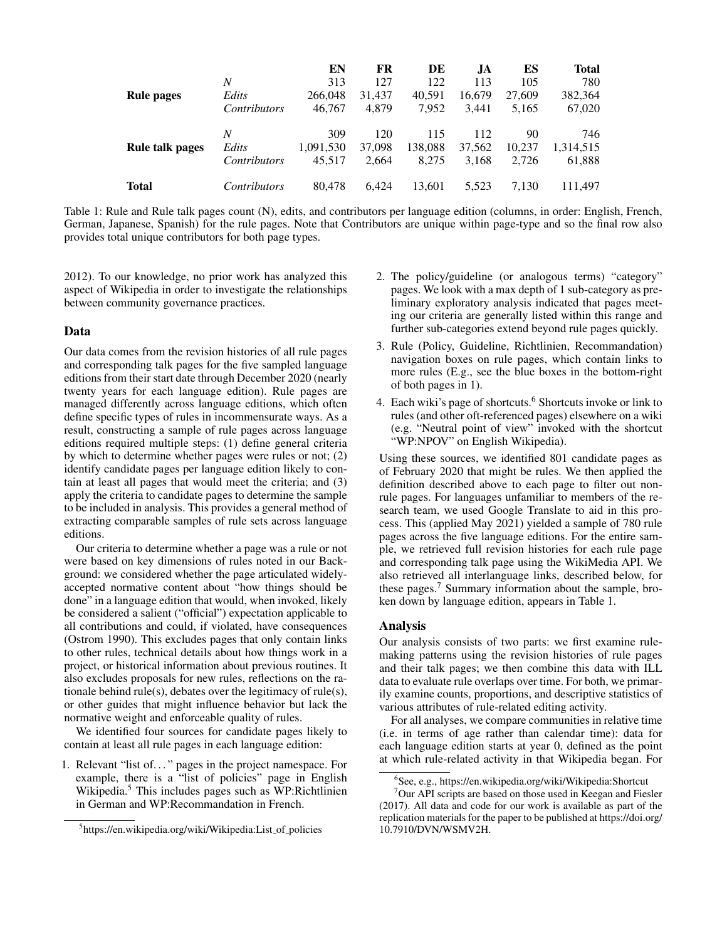|                   |                     | EN        | FR     | DE      | JA.    | ES     | <b>Total</b> |
|-------------------|---------------------|-----------|--------|---------|--------|--------|--------------|
|                   | N                   | 313       | 127    | 122     | 113    | 105    | 780          |
| <b>Rule pages</b> | Edits               | 266,048   | 31.437 | 40.591  | 16,679 | 27,609 | 382,364      |
|                   | <i>Contributors</i> | 46,767    | 4.879  | 7.952   | 3.441  | 5.165  | 67,020       |
|                   | N                   | 309       | 120    | 115     | 112    | 90     | 746          |
| Rule talk pages   | Edits               | 1,091,530 | 37,098 | 138,088 | 37,562 | 10.237 | 1,314,515    |
|                   | <i>Contributors</i> | 45.517    | 2,664  | 8,275   | 3,168  | 2,726  | 61,888       |
| Total             | <i>Contributors</i> | 80.478    | 6.424  | 13.601  | 5.523  | 7.130  | 111.497      |

Table 1: Rule and Rule talk pages count (N), edits, and contributors per language edition (columns, in order: English, French, German, Japanese, Spanish) for the rule pages. Note that Contributors are unique within page-type and so the final row also provides total unique contributors for both page types.

2012). To our knowledge, no prior work has analyzed this aspect of Wikipedia in order to investigate the relationships between community governance practices.

### Data

Our data comes from the revision histories of all rule pages and corresponding talk pages for the five sampled language editions from their start date through December 2020 (nearly twenty years for each language edition). Rule pages are managed differently across language editions, which often define specific types of rules in incommensurate ways. As a result, constructing a sample of rule pages across language editions required multiple steps: (1) define general criteria by which to determine whether pages were rules or not; (2) identify candidate pages per language edition likely to contain at least all pages that would meet the criteria; and (3) apply the criteria to candidate pages to determine the sample to be included in analysis. This provides a general method of extracting comparable samples of rule sets across language editions.

Our criteria to determine whether a page was a rule or not were based on key dimensions of rules noted in our Background: we considered whether the page articulated widelyaccepted normative content about "how things should be done" in a language edition that would, when invoked, likely be considered a salient ("official") expectation applicable to all contributions and could, if violated, have consequences (Ostrom 1990). This excludes pages that only contain links to other rules, technical details about how things work in a project, or historical information about previous routines. It also excludes proposals for new rules, reflections on the rationale behind rule(s), debates over the legitimacy of rule(s), or other guides that might influence behavior but lack the normative weight and enforceable quality of rules.

We identified four sources for candidate pages likely to contain at least all rule pages in each language edition:

1. Relevant "list of. . . " pages in the project namespace. For example, there is a "list of policies" page in English Wikipedia.<sup>5</sup> This includes pages such as WP:Richtlinien in German and WP:Recommandation in French.

- 2. The policy/guideline (or analogous terms) "category" pages. We look with a max depth of 1 sub-category as preliminary exploratory analysis indicated that pages meeting our criteria are generally listed within this range and further sub-categories extend beyond rule pages quickly.
- 3. Rule (Policy, Guideline, Richtlinien, Recommandation) navigation boxes on rule pages, which contain links to more rules (E.g., see the blue boxes in the bottom-right of both pages in 1).
- 4. Each wiki's page of shortcuts.<sup>6</sup> Shortcuts invoke or link to rules (and other oft-referenced pages) elsewhere on a wiki (e.g. "Neutral point of view" invoked with the shortcut "WP:NPOV" on English Wikipedia).

Using these sources, we identified 801 candidate pages as of February 2020 that might be rules. We then applied the definition described above to each page to filter out nonrule pages. For languages unfamiliar to members of the research team, we used Google Translate to aid in this process. This (applied May 2021) yielded a sample of 780 rule pages across the five language editions. For the entire sample, we retrieved full revision histories for each rule page and corresponding talk page using the WikiMedia API. We also retrieved all interlanguage links, described below, for these pages.<sup>7</sup> Summary information about the sample, broken down by language edition, appears in Table 1.

# Analysis

Our analysis consists of two parts: we first examine rulemaking patterns using the revision histories of rule pages and their talk pages; we then combine this data with ILL data to evaluate rule overlaps over time. For both, we primarily examine counts, proportions, and descriptive statistics of various attributes of rule-related editing activity.

For all analyses, we compare communities in relative time (i.e. in terms of age rather than calendar time): data for each language edition starts at year 0, defined as the point at which rule-related activity in that Wikipedia began. For

<sup>&</sup>lt;sup>5</sup>https://en.wikipedia.org/wiki/Wikipedia:List\_of\_policies

<sup>6</sup> See, e.g., https://en.wikipedia.org/wiki/Wikipedia:Shortcut

 $7$ Our API scripts are based on those used in Keegan and Fiesler (2017). All data and code for our work is available as part of the replication materials for the paper to be published at https://doi.org/ 10.7910/DVN/WSMV2H.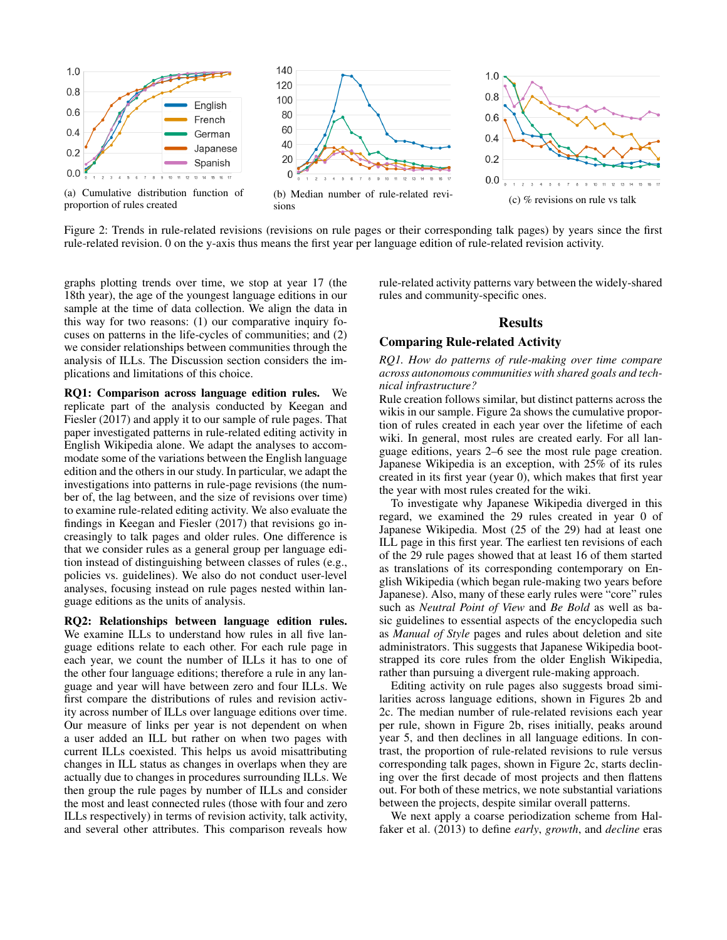

(a) Cumulative distribution function of proportion of rules created







Figure 2: Trends in rule-related revisions (revisions on rule pages or their corresponding talk pages) by years since the first rule-related revision. 0 on the y-axis thus means the first year per language edition of rule-related revision activity.

graphs plotting trends over time, we stop at year 17 (the 18th year), the age of the youngest language editions in our sample at the time of data collection. We align the data in this way for two reasons: (1) our comparative inquiry focuses on patterns in the life-cycles of communities; and (2) we consider relationships between communities through the analysis of ILLs. The Discussion section considers the implications and limitations of this choice.

RQ1: Comparison across language edition rules. We replicate part of the analysis conducted by Keegan and Fiesler (2017) and apply it to our sample of rule pages. That paper investigated patterns in rule-related editing activity in English Wikipedia alone. We adapt the analyses to accommodate some of the variations between the English language edition and the others in our study. In particular, we adapt the investigations into patterns in rule-page revisions (the number of, the lag between, and the size of revisions over time) to examine rule-related editing activity. We also evaluate the findings in Keegan and Fiesler (2017) that revisions go increasingly to talk pages and older rules. One difference is that we consider rules as a general group per language edition instead of distinguishing between classes of rules (e.g., policies vs. guidelines). We also do not conduct user-level analyses, focusing instead on rule pages nested within language editions as the units of analysis.

RQ2: Relationships between language edition rules. We examine ILLs to understand how rules in all five language editions relate to each other. For each rule page in each year, we count the number of ILLs it has to one of the other four language editions; therefore a rule in any language and year will have between zero and four ILLs. We first compare the distributions of rules and revision activity across number of ILLs over language editions over time. Our measure of links per year is not dependent on when a user added an ILL but rather on when two pages with current ILLs coexisted. This helps us avoid misattributing changes in ILL status as changes in overlaps when they are actually due to changes in procedures surrounding ILLs. We then group the rule pages by number of ILLs and consider the most and least connected rules (those with four and zero ILLs respectively) in terms of revision activity, talk activity, and several other attributes. This comparison reveals how

rule-related activity patterns vary between the widely-shared rules and community-specific ones.

### Results

### Comparing Rule-related Activity

*RQ1. How do patterns of rule-making over time compare across autonomous communities with shared goals and technical infrastructure?*

Rule creation follows similar, but distinct patterns across the wikis in our sample. Figure 2a shows the cumulative proportion of rules created in each year over the lifetime of each wiki. In general, most rules are created early. For all language editions, years 2–6 see the most rule page creation. Japanese Wikipedia is an exception, with 25% of its rules created in its first year (year 0), which makes that first year the year with most rules created for the wiki.

To investigate why Japanese Wikipedia diverged in this regard, we examined the 29 rules created in year 0 of Japanese Wikipedia. Most (25 of the 29) had at least one ILL page in this first year. The earliest ten revisions of each of the 29 rule pages showed that at least 16 of them started as translations of its corresponding contemporary on English Wikipedia (which began rule-making two years before Japanese). Also, many of these early rules were "core" rules such as *Neutral Point of View* and *Be Bold* as well as basic guidelines to essential aspects of the encyclopedia such as *Manual of Style* pages and rules about deletion and site administrators. This suggests that Japanese Wikipedia bootstrapped its core rules from the older English Wikipedia, rather than pursuing a divergent rule-making approach.

Editing activity on rule pages also suggests broad similarities across language editions, shown in Figures 2b and 2c. The median number of rule-related revisions each year per rule, shown in Figure 2b, rises initially, peaks around year 5, and then declines in all language editions. In contrast, the proportion of rule-related revisions to rule versus corresponding talk pages, shown in Figure 2c, starts declining over the first decade of most projects and then flattens out. For both of these metrics, we note substantial variations between the projects, despite similar overall patterns.

We next apply a coarse periodization scheme from Halfaker et al. (2013) to define *early*, *growth*, and *decline* eras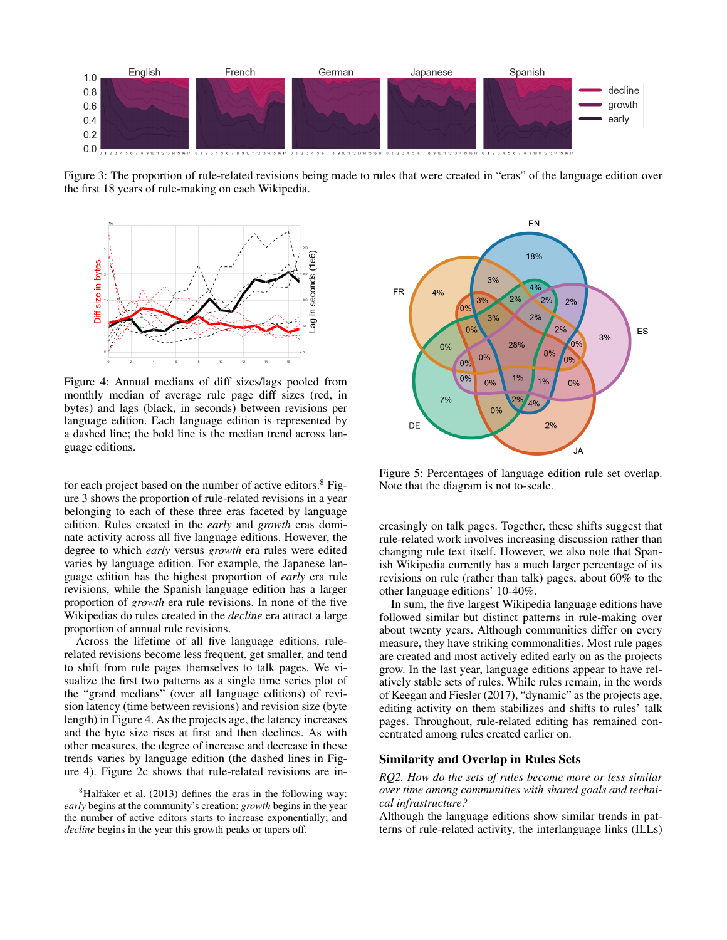

Figure 3: The proportion of rule-related revisions being made to rules that were created in "eras" of the language edition over the first 18 years of rule-making on each Wikipedia.



Figure 4: Annual medians of diff sizes/lags pooled from monthly median of average rule page diff sizes (red, in bytes) and lags (black, in seconds) between revisions per language edition. Each language edition is represented by a dashed line; the bold line is the median trend across language editions.

for each project based on the number of active editors. $8$  Figure 3 shows the proportion of rule-related revisions in a year belonging to each of these three eras faceted by language edition. Rules created in the *early* and *growth* eras dominate activity across all five language editions. However, the degree to which *early* versus *growth* era rules were edited varies by language edition. For example, the Japanese language edition has the highest proportion of *early* era rule revisions, while the Spanish language edition has a larger proportion of *growth* era rule revisions. In none of the five Wikipedias do rules created in the *decline* era attract a large proportion of annual rule revisions.

Across the lifetime of all five language editions, rulerelated revisions become less frequent, get smaller, and tend to shift from rule pages themselves to talk pages. We visualize the first two patterns as a single time series plot of the "grand medians" (over all language editions) of revision latency (time between revisions) and revision size (byte length) in Figure 4. As the projects age, the latency increases and the byte size rises at first and then declines. As with other measures, the degree of increase and decrease in these trends varies by language edition (the dashed lines in Figure 4). Figure 2c shows that rule-related revisions are in-



Figure 5: Percentages of language edition rule set overlap. Note that the diagram is not to-scale.

creasingly on talk pages. Together, these shifts suggest that rule-related work involves increasing discussion rather than changing rule text itself. However, we also note that Spanish Wikipedia currently has a much larger percentage of its revisions on rule (rather than talk) pages, about 60% to the other language editions' 10-40%.

In sum, the five largest Wikipedia language editions have followed similar but distinct patterns in rule-making over about twenty years. Although communities differ on every measure, they have striking commonalities. Most rule pages are created and most actively edited early on as the projects grow. In the last year, language editions appear to have relatively stable sets of rules. While rules remain, in the words of Keegan and Fiesler (2017), "dynamic" as the projects age, editing activity on them stabilizes and shifts to rules' talk pages. Throughout, rule-related editing has remained concentrated among rules created earlier on.

# Similarity and Overlap in Rules Sets

*RQ2. How do the sets of rules become more or less similar over time among communities with shared goals and technical infrastructure?*

Although the language editions show similar trends in patterns of rule-related activity, the interlanguage links (ILLs)

 ${}^{8}$ Halfaker et al. (2013) defines the eras in the following way: *early* begins at the community's creation; *growth* begins in the year the number of active editors starts to increase exponentially; and *decline* begins in the year this growth peaks or tapers off.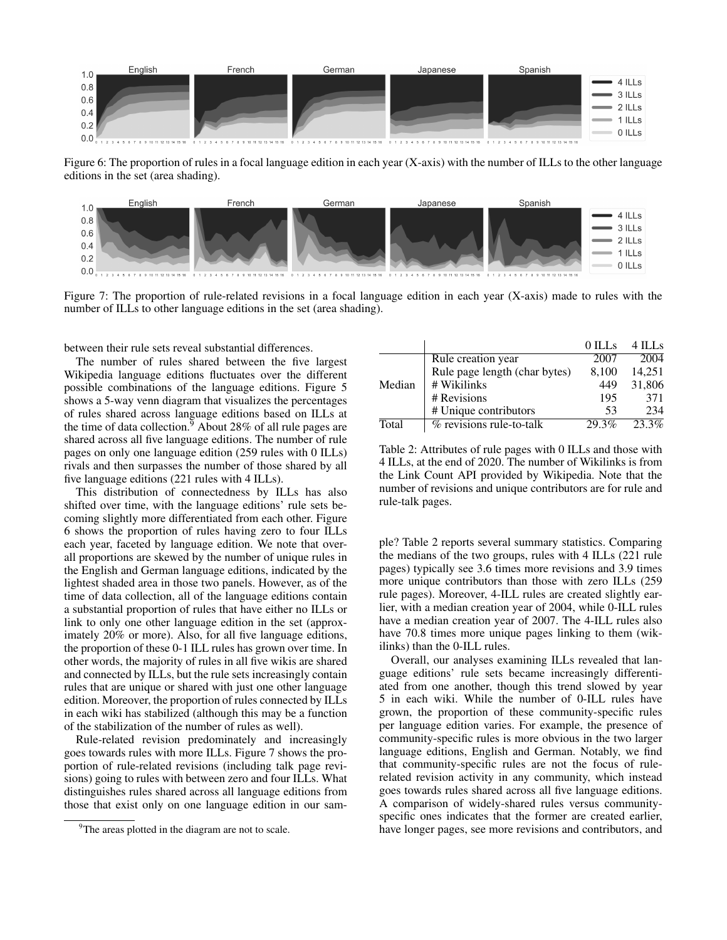

Figure 6: The proportion of rules in a focal language edition in each year (X-axis) with the number of ILLs to the other language editions in the set (area shading).



Figure 7: The proportion of rule-related revisions in a focal language edition in each year (X-axis) made to rules with the number of ILLs to other language editions in the set (area shading).

between their rule sets reveal substantial differences.

The number of rules shared between the five largest Wikipedia language editions fluctuates over the different possible combinations of the language editions. Figure 5 shows a 5-way venn diagram that visualizes the percentages of rules shared across language editions based on ILLs at the time of data collection.<sup>9</sup> About 28% of all rule pages are shared across all five language editions. The number of rule pages on only one language edition (259 rules with 0 ILLs) rivals and then surpasses the number of those shared by all five language editions (221 rules with 4 ILLs).

This distribution of connectedness by ILLs has also shifted over time, with the language editions' rule sets becoming slightly more differentiated from each other. Figure 6 shows the proportion of rules having zero to four ILLs each year, faceted by language edition. We note that overall proportions are skewed by the number of unique rules in the English and German language editions, indicated by the lightest shaded area in those two panels. However, as of the time of data collection, all of the language editions contain a substantial proportion of rules that have either no ILLs or link to only one other language edition in the set (approximately 20% or more). Also, for all five language editions, the proportion of these 0-1 ILL rules has grown over time. In other words, the majority of rules in all five wikis are shared and connected by ILLs, but the rule sets increasingly contain rules that are unique or shared with just one other language edition. Moreover, the proportion of rules connected by ILLs in each wiki has stabilized (although this may be a function of the stabilization of the number of rules as well).

Rule-related revision predominately and increasingly goes towards rules with more ILLs. Figure 7 shows the proportion of rule-related revisions (including talk page revisions) going to rules with between zero and four ILLs. What distinguishes rules shared across all language editions from those that exist only on one language edition in our sam-

|        |                                        | 0 ILLs | 4 ILLs |
|--------|----------------------------------------|--------|--------|
| Median | Rule creation year                     | 2007   | 2004   |
|        | Rule page length (char bytes)          | 8,100  | 14,251 |
|        | # Wikilinks                            | 449    | 31,806 |
|        | # Revisions                            | 195    | 371    |
|        | # Unique contributors                  | 53     | 234    |
| Total  | $\overline{\%}$ revisions rule-to-talk | 29.3%  | 23.3%  |

Table 2: Attributes of rule pages with 0 ILLs and those with 4 ILLs, at the end of 2020. The number of Wikilinks is from the Link Count API provided by Wikipedia. Note that the number of revisions and unique contributors are for rule and rule-talk pages.

ple? Table 2 reports several summary statistics. Comparing the medians of the two groups, rules with 4 ILLs (221 rule pages) typically see 3.6 times more revisions and 3.9 times more unique contributors than those with zero ILLs (259 rule pages). Moreover, 4-ILL rules are created slightly earlier, with a median creation year of 2004, while 0-ILL rules have a median creation year of 2007. The 4-ILL rules also have 70.8 times more unique pages linking to them (wikilinks) than the 0-ILL rules.

Overall, our analyses examining ILLs revealed that language editions' rule sets became increasingly differentiated from one another, though this trend slowed by year 5 in each wiki. While the number of 0-ILL rules have grown, the proportion of these community-specific rules per language edition varies. For example, the presence of community-specific rules is more obvious in the two larger language editions, English and German. Notably, we find that community-specific rules are not the focus of rulerelated revision activity in any community, which instead goes towards rules shared across all five language editions. A comparison of widely-shared rules versus communityspecific ones indicates that the former are created earlier, have longer pages, see more revisions and contributors, and

<sup>&</sup>lt;sup>9</sup>The areas plotted in the diagram are not to scale.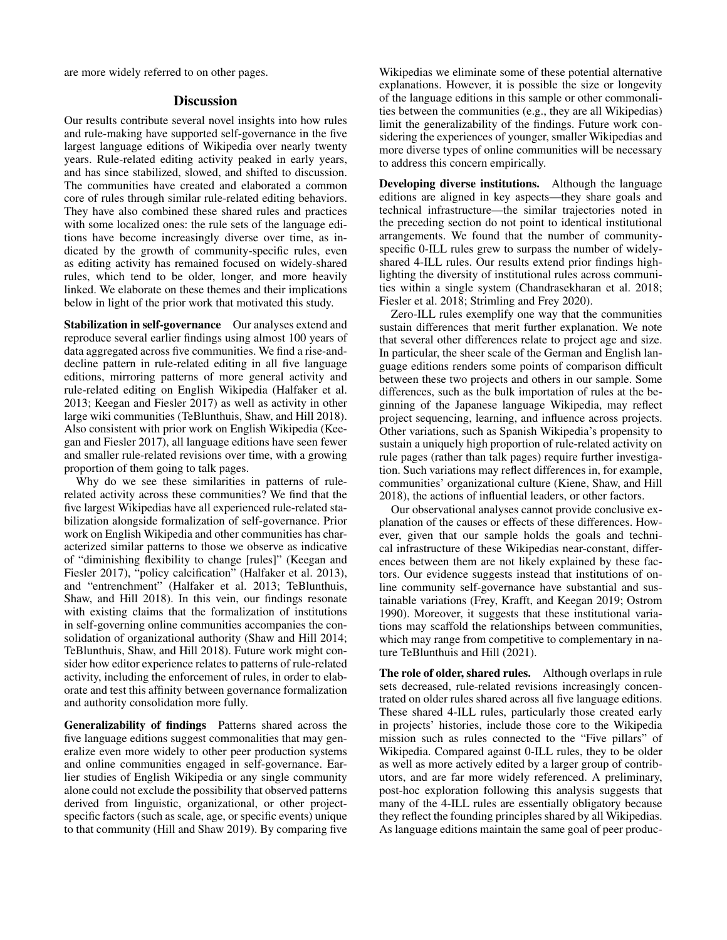are more widely referred to on other pages.

# **Discussion**

Our results contribute several novel insights into how rules and rule-making have supported self-governance in the five largest language editions of Wikipedia over nearly twenty years. Rule-related editing activity peaked in early years, and has since stabilized, slowed, and shifted to discussion. The communities have created and elaborated a common core of rules through similar rule-related editing behaviors. They have also combined these shared rules and practices with some localized ones: the rule sets of the language editions have become increasingly diverse over time, as indicated by the growth of community-specific rules, even as editing activity has remained focused on widely-shared rules, which tend to be older, longer, and more heavily linked. We elaborate on these themes and their implications below in light of the prior work that motivated this study.

Stabilization in self-governance Our analyses extend and reproduce several earlier findings using almost 100 years of data aggregated across five communities. We find a rise-anddecline pattern in rule-related editing in all five language editions, mirroring patterns of more general activity and rule-related editing on English Wikipedia (Halfaker et al. 2013; Keegan and Fiesler 2017) as well as activity in other large wiki communities (TeBlunthuis, Shaw, and Hill 2018). Also consistent with prior work on English Wikipedia (Keegan and Fiesler 2017), all language editions have seen fewer and smaller rule-related revisions over time, with a growing proportion of them going to talk pages.

Why do we see these similarities in patterns of rulerelated activity across these communities? We find that the five largest Wikipedias have all experienced rule-related stabilization alongside formalization of self-governance. Prior work on English Wikipedia and other communities has characterized similar patterns to those we observe as indicative of "diminishing flexibility to change [rules]" (Keegan and Fiesler 2017), "policy calcification" (Halfaker et al. 2013), and "entrenchment" (Halfaker et al. 2013; TeBlunthuis, Shaw, and Hill 2018). In this vein, our findings resonate with existing claims that the formalization of institutions in self-governing online communities accompanies the consolidation of organizational authority (Shaw and Hill 2014; TeBlunthuis, Shaw, and Hill 2018). Future work might consider how editor experience relates to patterns of rule-related activity, including the enforcement of rules, in order to elaborate and test this affinity between governance formalization and authority consolidation more fully.

Generalizability of findings Patterns shared across the five language editions suggest commonalities that may generalize even more widely to other peer production systems and online communities engaged in self-governance. Earlier studies of English Wikipedia or any single community alone could not exclude the possibility that observed patterns derived from linguistic, organizational, or other projectspecific factors (such as scale, age, or specific events) unique to that community (Hill and Shaw 2019). By comparing five

Wikipedias we eliminate some of these potential alternative explanations. However, it is possible the size or longevity of the language editions in this sample or other commonalities between the communities (e.g., they are all Wikipedias) limit the generalizability of the findings. Future work considering the experiences of younger, smaller Wikipedias and more diverse types of online communities will be necessary to address this concern empirically.

Developing diverse institutions. Although the language editions are aligned in key aspects—they share goals and technical infrastructure—the similar trajectories noted in the preceding section do not point to identical institutional arrangements. We found that the number of communityspecific 0-ILL rules grew to surpass the number of widelyshared 4-ILL rules. Our results extend prior findings highlighting the diversity of institutional rules across communities within a single system (Chandrasekharan et al. 2018; Fiesler et al. 2018; Strimling and Frey 2020).

Zero-ILL rules exemplify one way that the communities sustain differences that merit further explanation. We note that several other differences relate to project age and size. In particular, the sheer scale of the German and English language editions renders some points of comparison difficult between these two projects and others in our sample. Some differences, such as the bulk importation of rules at the beginning of the Japanese language Wikipedia, may reflect project sequencing, learning, and influence across projects. Other variations, such as Spanish Wikipedia's propensity to sustain a uniquely high proportion of rule-related activity on rule pages (rather than talk pages) require further investigation. Such variations may reflect differences in, for example, communities' organizational culture (Kiene, Shaw, and Hill 2018), the actions of influential leaders, or other factors.

Our observational analyses cannot provide conclusive explanation of the causes or effects of these differences. However, given that our sample holds the goals and technical infrastructure of these Wikipedias near-constant, differences between them are not likely explained by these factors. Our evidence suggests instead that institutions of online community self-governance have substantial and sustainable variations (Frey, Krafft, and Keegan 2019; Ostrom 1990). Moreover, it suggests that these institutional variations may scaffold the relationships between communities, which may range from competitive to complementary in nature TeBlunthuis and Hill (2021).

The role of older, shared rules. Although overlaps in rule sets decreased, rule-related revisions increasingly concentrated on older rules shared across all five language editions. These shared 4-ILL rules, particularly those created early in projects' histories, include those core to the Wikipedia mission such as rules connected to the "Five pillars" of Wikipedia. Compared against 0-ILL rules, they to be older as well as more actively edited by a larger group of contributors, and are far more widely referenced. A preliminary, post-hoc exploration following this analysis suggests that many of the 4-ILL rules are essentially obligatory because they reflect the founding principles shared by all Wikipedias. As language editions maintain the same goal of peer produc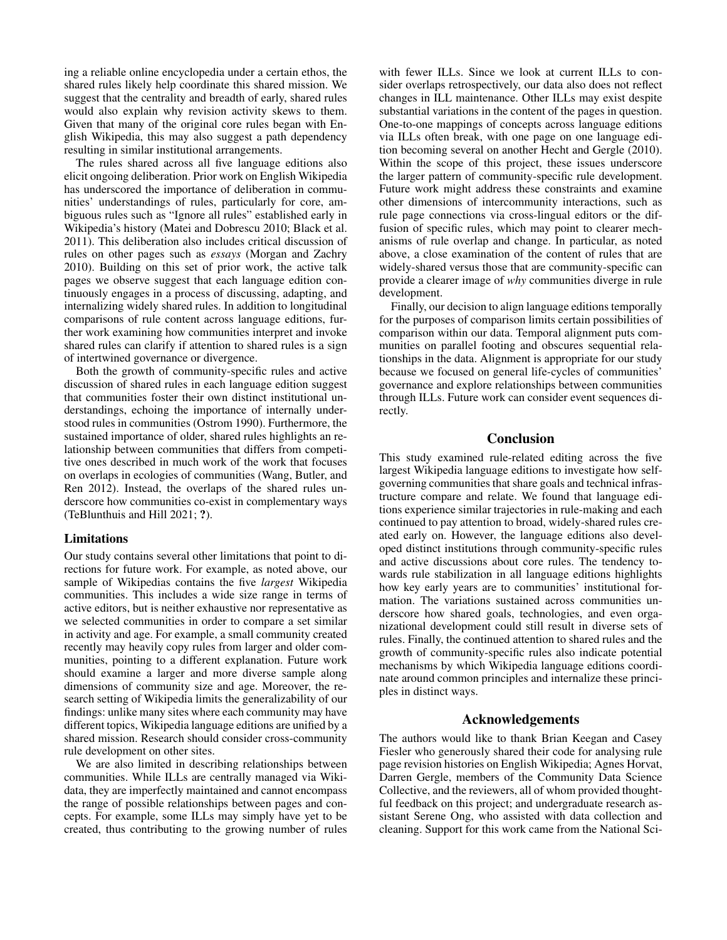ing a reliable online encyclopedia under a certain ethos, the shared rules likely help coordinate this shared mission. We suggest that the centrality and breadth of early, shared rules would also explain why revision activity skews to them. Given that many of the original core rules began with English Wikipedia, this may also suggest a path dependency resulting in similar institutional arrangements.

The rules shared across all five language editions also elicit ongoing deliberation. Prior work on English Wikipedia has underscored the importance of deliberation in communities' understandings of rules, particularly for core, ambiguous rules such as "Ignore all rules" established early in Wikipedia's history (Matei and Dobrescu 2010; Black et al. 2011). This deliberation also includes critical discussion of rules on other pages such as *essays* (Morgan and Zachry 2010). Building on this set of prior work, the active talk pages we observe suggest that each language edition continuously engages in a process of discussing, adapting, and internalizing widely shared rules. In addition to longitudinal comparisons of rule content across language editions, further work examining how communities interpret and invoke shared rules can clarify if attention to shared rules is a sign of intertwined governance or divergence.

Both the growth of community-specific rules and active discussion of shared rules in each language edition suggest that communities foster their own distinct institutional understandings, echoing the importance of internally understood rules in communities (Ostrom 1990). Furthermore, the sustained importance of older, shared rules highlights an relationship between communities that differs from competitive ones described in much work of the work that focuses on overlaps in ecologies of communities (Wang, Butler, and Ren 2012). Instead, the overlaps of the shared rules underscore how communities co-exist in complementary ways (TeBlunthuis and Hill 2021; ?).

#### Limitations

Our study contains several other limitations that point to directions for future work. For example, as noted above, our sample of Wikipedias contains the five *largest* Wikipedia communities. This includes a wide size range in terms of active editors, but is neither exhaustive nor representative as we selected communities in order to compare a set similar in activity and age. For example, a small community created recently may heavily copy rules from larger and older communities, pointing to a different explanation. Future work should examine a larger and more diverse sample along dimensions of community size and age. Moreover, the research setting of Wikipedia limits the generalizability of our findings: unlike many sites where each community may have different topics, Wikipedia language editions are unified by a shared mission. Research should consider cross-community rule development on other sites.

We are also limited in describing relationships between communities. While ILLs are centrally managed via Wikidata, they are imperfectly maintained and cannot encompass the range of possible relationships between pages and concepts. For example, some ILLs may simply have yet to be created, thus contributing to the growing number of rules

with fewer ILLs. Since we look at current ILLs to consider overlaps retrospectively, our data also does not reflect changes in ILL maintenance. Other ILLs may exist despite substantial variations in the content of the pages in question. One-to-one mappings of concepts across language editions via ILLs often break, with one page on one language edition becoming several on another Hecht and Gergle (2010). Within the scope of this project, these issues underscore the larger pattern of community-specific rule development. Future work might address these constraints and examine other dimensions of intercommunity interactions, such as rule page connections via cross-lingual editors or the diffusion of specific rules, which may point to clearer mechanisms of rule overlap and change. In particular, as noted above, a close examination of the content of rules that are widely-shared versus those that are community-specific can provide a clearer image of *why* communities diverge in rule development.

Finally, our decision to align language editions temporally for the purposes of comparison limits certain possibilities of comparison within our data. Temporal alignment puts communities on parallel footing and obscures sequential relationships in the data. Alignment is appropriate for our study because we focused on general life-cycles of communities' governance and explore relationships between communities through ILLs. Future work can consider event sequences directly.

# Conclusion

This study examined rule-related editing across the five largest Wikipedia language editions to investigate how selfgoverning communities that share goals and technical infrastructure compare and relate. We found that language editions experience similar trajectories in rule-making and each continued to pay attention to broad, widely-shared rules created early on. However, the language editions also developed distinct institutions through community-specific rules and active discussions about core rules. The tendency towards rule stabilization in all language editions highlights how key early years are to communities' institutional formation. The variations sustained across communities underscore how shared goals, technologies, and even organizational development could still result in diverse sets of rules. Finally, the continued attention to shared rules and the growth of community-specific rules also indicate potential mechanisms by which Wikipedia language editions coordinate around common principles and internalize these principles in distinct ways.

### Acknowledgements

The authors would like to thank Brian Keegan and Casey Fiesler who generously shared their code for analysing rule page revision histories on English Wikipedia; Agnes Horvat, Darren Gergle, members of the Community Data Science Collective, and the reviewers, all of whom provided thoughtful feedback on this project; and undergraduate research assistant Serene Ong, who assisted with data collection and cleaning. Support for this work came from the National Sci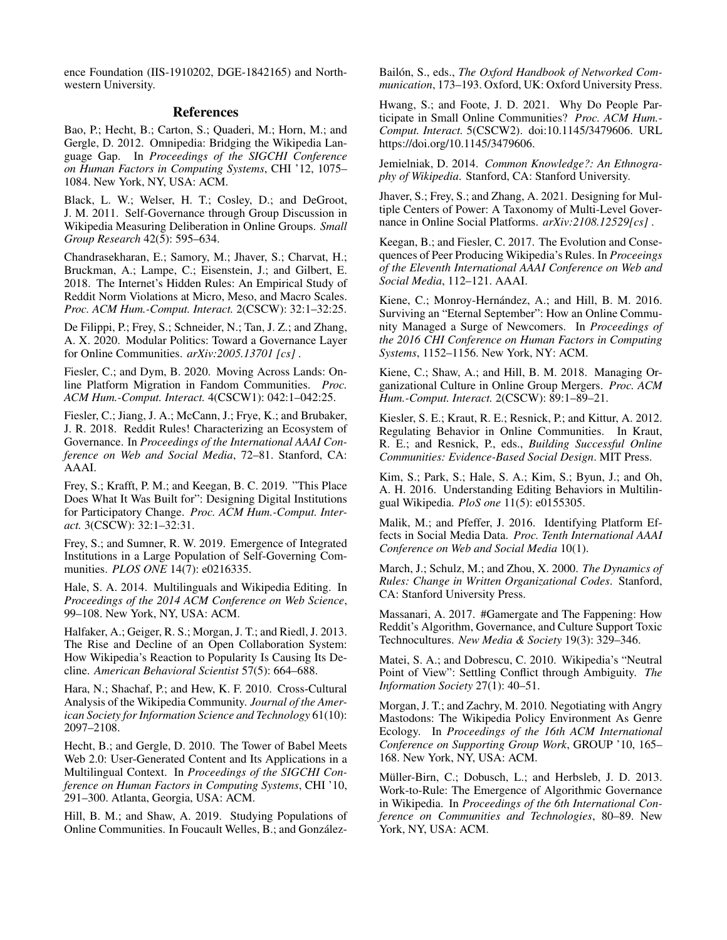ence Foundation (IIS-1910202, DGE-1842165) and Northwestern University.

### References

Bao, P.; Hecht, B.; Carton, S.; Quaderi, M.; Horn, M.; and Gergle, D. 2012. Omnipedia: Bridging the Wikipedia Language Gap. In *Proceedings of the SIGCHI Conference on Human Factors in Computing Systems*, CHI '12, 1075– 1084. New York, NY, USA: ACM.

Black, L. W.; Welser, H. T.; Cosley, D.; and DeGroot, J. M. 2011. Self-Governance through Group Discussion in Wikipedia Measuring Deliberation in Online Groups. *Small Group Research* 42(5): 595–634.

Chandrasekharan, E.; Samory, M.; Jhaver, S.; Charvat, H.; Bruckman, A.; Lampe, C.; Eisenstein, J.; and Gilbert, E. 2018. The Internet's Hidden Rules: An Empirical Study of Reddit Norm Violations at Micro, Meso, and Macro Scales. *Proc. ACM Hum.-Comput. Interact.* 2(CSCW): 32:1–32:25.

De Filippi, P.; Frey, S.; Schneider, N.; Tan, J. Z.; and Zhang, A. X. 2020. Modular Politics: Toward a Governance Layer for Online Communities. *arXiv:2005.13701 [cs]* .

Fiesler, C.; and Dym, B. 2020. Moving Across Lands: Online Platform Migration in Fandom Communities. *Proc. ACM Hum.-Comput. Interact.* 4(CSCW1): 042:1–042:25.

Fiesler, C.; Jiang, J. A.; McCann, J.; Frye, K.; and Brubaker, J. R. 2018. Reddit Rules! Characterizing an Ecosystem of Governance. In *Proceedings of the International AAAI Conference on Web and Social Media*, 72–81. Stanford, CA: AAAI.

Frey, S.; Krafft, P. M.; and Keegan, B. C. 2019. "This Place Does What It Was Built for": Designing Digital Institutions for Participatory Change. *Proc. ACM Hum.-Comput. Interact.* 3(CSCW): 32:1–32:31.

Frey, S.; and Sumner, R. W. 2019. Emergence of Integrated Institutions in a Large Population of Self-Governing Communities. *PLOS ONE* 14(7): e0216335.

Hale, S. A. 2014. Multilinguals and Wikipedia Editing. In *Proceedings of the 2014 ACM Conference on Web Science*, 99–108. New York, NY, USA: ACM.

Halfaker, A.; Geiger, R. S.; Morgan, J. T.; and Riedl, J. 2013. The Rise and Decline of an Open Collaboration System: How Wikipedia's Reaction to Popularity Is Causing Its Decline. *American Behavioral Scientist* 57(5): 664–688.

Hara, N.; Shachaf, P.; and Hew, K. F. 2010. Cross-Cultural Analysis of the Wikipedia Community. *Journal of the American Society for Information Science and Technology* 61(10): 2097–2108.

Hecht, B.; and Gergle, D. 2010. The Tower of Babel Meets Web 2.0: User-Generated Content and Its Applications in a Multilingual Context. In *Proceedings of the SIGCHI Conference on Human Factors in Computing Systems*, CHI '10, 291–300. Atlanta, Georgia, USA: ACM.

Hill, B. M.; and Shaw, A. 2019. Studying Populations of Online Communities. In Foucault Welles, B.; and Gonzalez- ´

Bailón, S., eds., *The Oxford Handbook of Networked Communication*, 173–193. Oxford, UK: Oxford University Press.

Hwang, S.; and Foote, J. D. 2021. Why Do People Participate in Small Online Communities? *Proc. ACM Hum.- Comput. Interact.* 5(CSCW2). doi:10.1145/3479606. URL https://doi.org/10.1145/3479606.

Jemielniak, D. 2014. *Common Knowledge?: An Ethnography of Wikipedia*. Stanford, CA: Stanford University.

Jhaver, S.; Frey, S.; and Zhang, A. 2021. Designing for Multiple Centers of Power: A Taxonomy of Multi-Level Governance in Online Social Platforms. *arXiv:2108.12529[cs]* .

Keegan, B.; and Fiesler, C. 2017. The Evolution and Consequences of Peer Producing Wikipedia's Rules. In *Proceeings of the Eleventh International AAAI Conference on Web and Social Media*, 112–121. AAAI.

Kiene, C.; Monroy-Hernández, A.; and Hill, B. M. 2016. Surviving an "Eternal September": How an Online Community Managed a Surge of Newcomers. In *Proceedings of the 2016 CHI Conference on Human Factors in Computing Systems*, 1152–1156. New York, NY: ACM.

Kiene, C.; Shaw, A.; and Hill, B. M. 2018. Managing Organizational Culture in Online Group Mergers. *Proc. ACM Hum.-Comput. Interact.* 2(CSCW): 89:1–89–21.

Kiesler, S. E.; Kraut, R. E.; Resnick, P.; and Kittur, A. 2012. Regulating Behavior in Online Communities. In Kraut, R. E.; and Resnick, P., eds., *Building Successful Online Communities: Evidence-Based Social Design*. MIT Press.

Kim, S.; Park, S.; Hale, S. A.; Kim, S.; Byun, J.; and Oh, A. H. 2016. Understanding Editing Behaviors in Multilingual Wikipedia. *PloS one* 11(5): e0155305.

Malik, M.; and Pfeffer, J. 2016. Identifying Platform Effects in Social Media Data. *Proc. Tenth International AAAI Conference on Web and Social Media* 10(1).

March, J.; Schulz, M.; and Zhou, X. 2000. *The Dynamics of Rules: Change in Written Organizational Codes*. Stanford, CA: Stanford University Press.

Massanari, A. 2017. #Gamergate and The Fappening: How Reddit's Algorithm, Governance, and Culture Support Toxic Technocultures. *New Media & Society* 19(3): 329–346.

Matei, S. A.; and Dobrescu, C. 2010. Wikipedia's "Neutral Point of View": Settling Conflict through Ambiguity. *The Information Society* 27(1): 40–51.

Morgan, J. T.; and Zachry, M. 2010. Negotiating with Angry Mastodons: The Wikipedia Policy Environment As Genre Ecology. In *Proceedings of the 16th ACM International Conference on Supporting Group Work*, GROUP '10, 165– 168. New York, NY, USA: ACM.

Müller-Birn, C.; Dobusch, L.; and Herbsleb, J. D. 2013. Work-to-Rule: The Emergence of Algorithmic Governance in Wikipedia. In *Proceedings of the 6th International Conference on Communities and Technologies*, 80–89. New York, NY, USA: ACM.